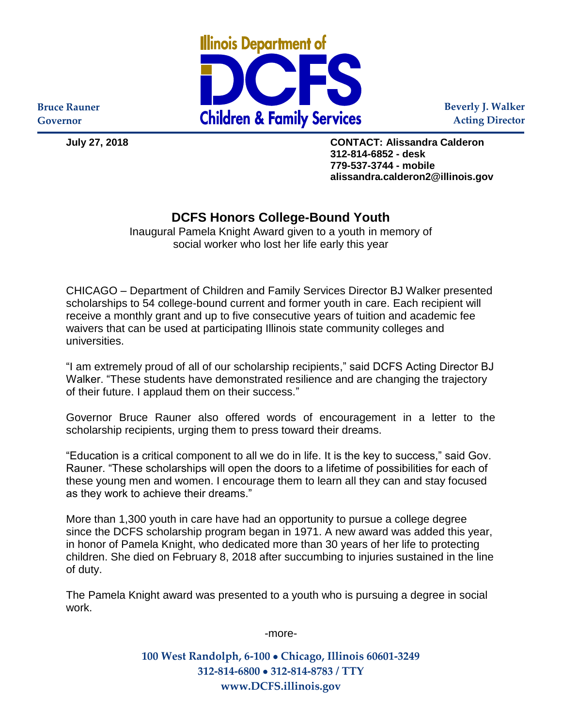

**Beverly J. Walker Acting Director**

**Bruce Rauner Governor**

**July 27, 2018 CONTACT: Alissandra Calderon 312-814-6852 - desk 779-537-3744 - mobile alissandra.calderon2@illinois.gov**

## **DCFS Honors College-Bound Youth**

Inaugural Pamela Knight Award given to a youth in memory of social worker who lost her life early this year

CHICAGO – Department of Children and Family Services Director BJ Walker presented scholarships to 54 college-bound current and former youth in care. Each recipient will receive a monthly grant and up to five consecutive years of tuition and academic fee waivers that can be used at participating Illinois state community colleges and universities.

"I am extremely proud of all of our scholarship recipients," said DCFS Acting Director BJ Walker. "These students have demonstrated resilience and are changing the trajectory of their future. I applaud them on their success."

Governor Bruce Rauner also offered words of encouragement in a letter to the scholarship recipients, urging them to press toward their dreams.

"Education is a critical component to all we do in life. It is the key to success," said Gov. Rauner. "These scholarships will open the doors to a lifetime of possibilities for each of these young men and women. I encourage them to learn all they can and stay focused as they work to achieve their dreams."

More than 1,300 youth in care have had an opportunity to pursue a college degree since the DCFS scholarship program began in 1971. A new award was added this year, in honor of Pamela Knight, who dedicated more than 30 years of her life to protecting children. She died on February 8, 2018 after succumbing to injuries sustained in the line of duty.

The Pamela Knight award was presented to a youth who is pursuing a degree in social work.

-more-

**100 West Randolph, 6-100** • **Chicago, Illinois 60601-3249 312-814-6800** • **312-814-8783 / TTY www.DCFS.illinois.gov**